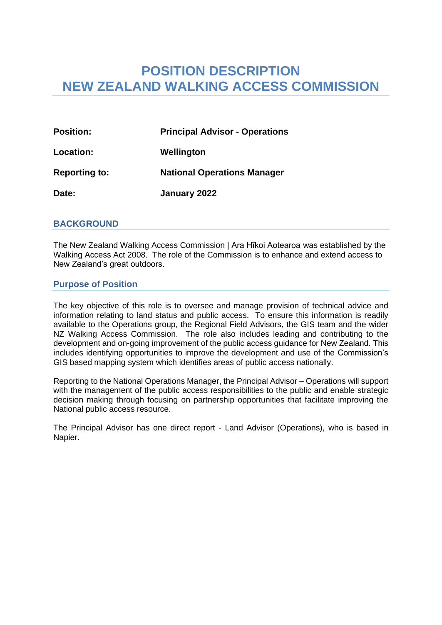# **POSITION DESCRIPTION NEW ZEALAND WALKING ACCESS COMMISSION**

| <b>Position:</b>     | <b>Principal Advisor - Operations</b> |
|----------------------|---------------------------------------|
| Location:            | Wellington                            |
| <b>Reporting to:</b> | <b>National Operations Manager</b>    |
| Date:                | January 2022                          |

## **BACKGROUND**

The New Zealand Walking Access Commission | Ara Hīkoi Aotearoa was established by the Walking Access Act 2008. The role of the Commission is to enhance and extend access to New Zealand's great outdoors.

## **Purpose of Position**

The key objective of this role is to oversee and manage provision of technical advice and information relating to land status and public access. To ensure this information is readily available to the Operations group, the Regional Field Advisors, the GIS team and the wider NZ Walking Access Commission. The role also includes leading and contributing to the development and on-going improvement of the public access guidance for New Zealand. This includes identifying opportunities to improve the development and use of the Commission's GIS based mapping system which identifies areas of public access nationally.

Reporting to the National Operations Manager, the Principal Advisor – Operations will support with the management of the public access responsibilities to the public and enable strategic decision making through focusing on partnership opportunities that facilitate improving the National public access resource.

The Principal Advisor has one direct report - Land Advisor (Operations), who is based in Napier.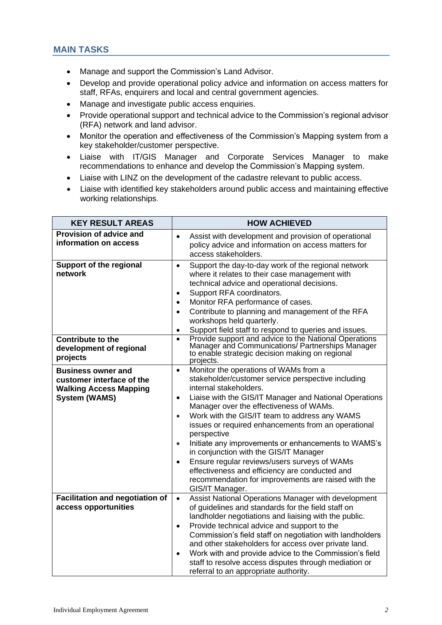- Manage and support the Commission's Land Advisor.
- Develop and provide operational policy advice and information on access matters for staff, RFAs, enquirers and local and central government agencies.
- Manage and investigate public access enquiries.
- Provide operational support and technical advice to the Commission's regional advisor (RFA) network and land advisor.
- Monitor the operation and effectiveness of the Commission's Mapping system from a key stakeholder/customer perspective.
- Liaise with IT/GIS Manager and Corporate Services Manager to make recommendations to enhance and develop the Commission's Mapping system.
- Liaise with LINZ on the development of the cadastre relevant to public access.
- Liaise with identified key stakeholders around public access and maintaining effective working relationships.

| <b>KEY RESULT AREAS</b>                                                                                         | <b>HOW ACHIEVED</b>                                                                                                                                                                                                                                                                                                                                                                                                                                                                                                                                                                                                                                                                             |
|-----------------------------------------------------------------------------------------------------------------|-------------------------------------------------------------------------------------------------------------------------------------------------------------------------------------------------------------------------------------------------------------------------------------------------------------------------------------------------------------------------------------------------------------------------------------------------------------------------------------------------------------------------------------------------------------------------------------------------------------------------------------------------------------------------------------------------|
| <b>Provision of advice and</b><br>information on access                                                         | Assist with development and provision of operational<br>$\bullet$<br>policy advice and information on access matters for<br>access stakeholders.                                                                                                                                                                                                                                                                                                                                                                                                                                                                                                                                                |
| <b>Support of the regional</b><br>network                                                                       | Support the day-to-day work of the regional network<br>$\bullet$<br>where it relates to their case management with<br>technical advice and operational decisions.<br>Support RFA coordinators.<br>$\bullet$<br>Monitor RFA performance of cases.<br>$\bullet$<br>Contribute to planning and management of the RFA<br>$\bullet$<br>workshops held quarterly.<br>Support field staff to respond to queries and issues.                                                                                                                                                                                                                                                                            |
| <b>Contribute to the</b><br>development of regional<br>projects                                                 | Provide support and advice to the National Operations<br>$\bullet$<br>Manager and Communications/ Partnerships Manager<br>to enable strategic decision making on regional<br>projects.                                                                                                                                                                                                                                                                                                                                                                                                                                                                                                          |
| <b>Business owner and</b><br>customer interface of the<br><b>Walking Access Mapping</b><br><b>System (WAMS)</b> | Monitor the operations of WAMs from a<br>$\bullet$<br>stakeholder/customer service perspective including<br>internal stakeholders.<br>Liaise with the GIS/IT Manager and National Operations<br>$\bullet$<br>Manager over the effectiveness of WAMs.<br>Work with the GIS/IT team to address any WAMS<br>$\bullet$<br>issues or required enhancements from an operational<br>perspective<br>Initiate any improvements or enhancements to WAMS's<br>$\bullet$<br>in conjunction with the GIS/IT Manager<br>Ensure regular reviews/users surveys of WAMs<br>$\bullet$<br>effectiveness and efficiency are conducted and<br>recommendation for improvements are raised with the<br>GIS/IT Manager. |
| <b>Facilitation and negotiation of</b><br>access opportunities                                                  | Assist National Operations Manager with development<br>$\bullet$<br>of guidelines and standards for the field staff on<br>landholder negotiations and liaising with the public.<br>Provide technical advice and support to the<br>$\bullet$<br>Commission's field staff on negotiation with landholders<br>and other stakeholders for access over private land.<br>Work with and provide advice to the Commission's field<br>$\bullet$<br>staff to resolve access disputes through mediation or<br>referral to an appropriate authority.                                                                                                                                                        |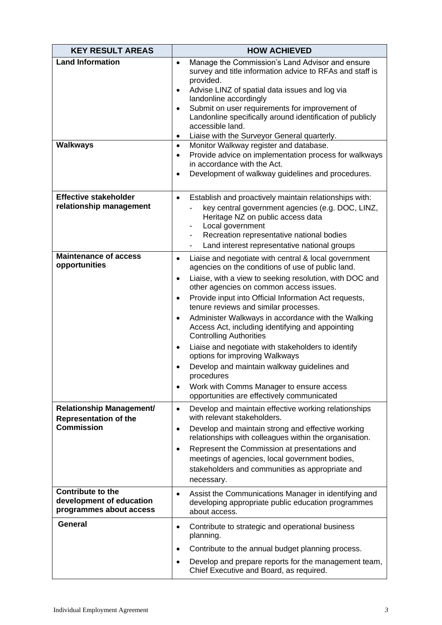| <b>KEY RESULT AREAS</b>                                                              | <b>HOW ACHIEVED</b>                                                                                                                                                                                                                                                                                                                                                                                                                                                                                                                                                                                                                                                                                                                                                                |
|--------------------------------------------------------------------------------------|------------------------------------------------------------------------------------------------------------------------------------------------------------------------------------------------------------------------------------------------------------------------------------------------------------------------------------------------------------------------------------------------------------------------------------------------------------------------------------------------------------------------------------------------------------------------------------------------------------------------------------------------------------------------------------------------------------------------------------------------------------------------------------|
| <b>Land Information</b><br><b>Walkways</b>                                           | Manage the Commission's Land Advisor and ensure<br>$\bullet$<br>survey and title information advice to RFAs and staff is<br>provided.<br>Advise LINZ of spatial data issues and log via<br>$\bullet$<br>landonline accordingly<br>Submit on user requirements for improvement of<br>$\bullet$<br>Landonline specifically around identification of publicly<br>accessible land.<br>Liaise with the Surveyor General quarterly.<br>٠<br>Monitor Walkway register and database.<br>$\bullet$                                                                                                                                                                                                                                                                                          |
|                                                                                      | Provide advice on implementation process for walkways<br>$\bullet$<br>in accordance with the Act.<br>Development of walkway guidelines and procedures.<br>$\bullet$                                                                                                                                                                                                                                                                                                                                                                                                                                                                                                                                                                                                                |
| <b>Effective stakeholder</b><br>relationship management                              | Establish and proactively maintain relationships with:<br>$\bullet$<br>key central government agencies (e.g. DOC, LINZ,<br>Heritage NZ on public access data<br>Local government<br>Recreation representative national bodies<br>Land interest representative national groups                                                                                                                                                                                                                                                                                                                                                                                                                                                                                                      |
| <b>Maintenance of access</b><br>opportunities                                        | Liaise and negotiate with central & local government<br>٠<br>agencies on the conditions of use of public land.<br>Liaise, with a view to seeking resolution, with DOC and<br>$\bullet$<br>other agencies on common access issues.<br>Provide input into Official Information Act requests,<br>$\bullet$<br>tenure reviews and similar processes.<br>Administer Walkways in accordance with the Walking<br>$\bullet$<br>Access Act, including identifying and appointing<br><b>Controlling Authorities</b><br>Liaise and negotiate with stakeholders to identify<br>$\bullet$<br>options for improving Walkways<br>Develop and maintain walkway guidelines and<br>$\bullet$<br>procedures<br>Work with Comms Manager to ensure access<br>opportunities are effectively communicated |
| <b>Relationship Management/</b><br><b>Representation of the</b><br><b>Commission</b> | Develop and maintain effective working relationships<br>$\bullet$<br>with relevant stakeholders.<br>Develop and maintain strong and effective working<br>$\bullet$<br>relationships with colleagues within the organisation.<br>Represent the Commission at presentations and<br>$\bullet$<br>meetings of agencies, local government bodies,<br>stakeholders and communities as appropriate and<br>necessary.                                                                                                                                                                                                                                                                                                                                                                      |
| <b>Contribute to the</b><br>development of education<br>programmes about access      | Assist the Communications Manager in identifying and<br>٠<br>developing appropriate public education programmes<br>about access.                                                                                                                                                                                                                                                                                                                                                                                                                                                                                                                                                                                                                                                   |
| <b>General</b>                                                                       | Contribute to strategic and operational business<br>٠<br>planning.<br>Contribute to the annual budget planning process.<br>$\bullet$<br>Develop and prepare reports for the management team,<br>$\bullet$<br>Chief Executive and Board, as required.                                                                                                                                                                                                                                                                                                                                                                                                                                                                                                                               |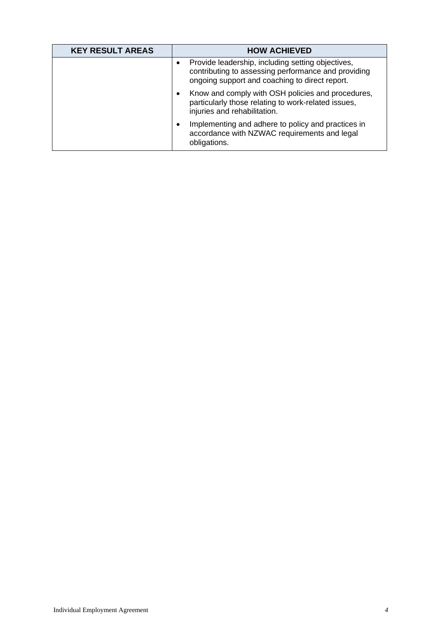| <b>KEY RESULT AREAS</b> | <b>HOW ACHIEVED</b>                                                                                                                                        |
|-------------------------|------------------------------------------------------------------------------------------------------------------------------------------------------------|
|                         | Provide leadership, including setting objectives,<br>contributing to assessing performance and providing<br>ongoing support and coaching to direct report. |
|                         | Know and comply with OSH policies and procedures,<br>٠<br>particularly those relating to work-related issues,<br>injuries and rehabilitation.              |
|                         | Implementing and adhere to policy and practices in<br>accordance with NZWAC requirements and legal<br>obligations.                                         |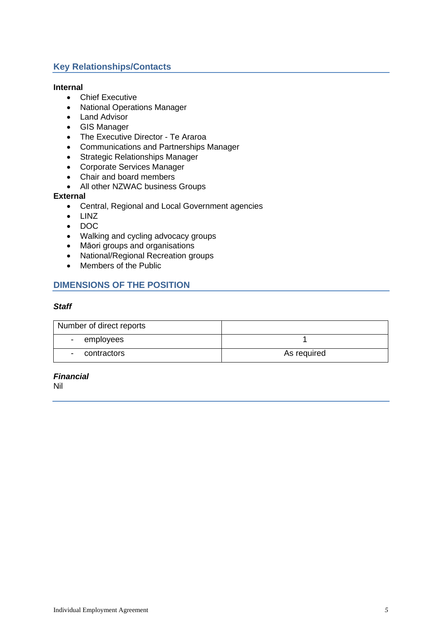## **Key Relationships/Contacts**

#### **Internal**

- Chief Executive
- National Operations Manager
- Land Advisor
- GIS Manager
- The Executive Director Te Araroa
- Communications and Partnerships Manager
- Strategic Relationships Manager
- Corporate Services Manager
- Chair and board members
- All other NZWAC business Groups

#### **External**

- Central, Regional and Local Government agencies
- LINZ
- DOC
- Walking and cycling advocacy groups
- Māori groups and organisations
- National/Regional Recreation groups
- Members of the Public

## **DIMENSIONS OF THE POSITION**

#### *Staff*

| Number of direct reports |             |
|--------------------------|-------------|
| employees<br>$\sim$      |             |
| contractors              | As required |

#### *Financial*

Nil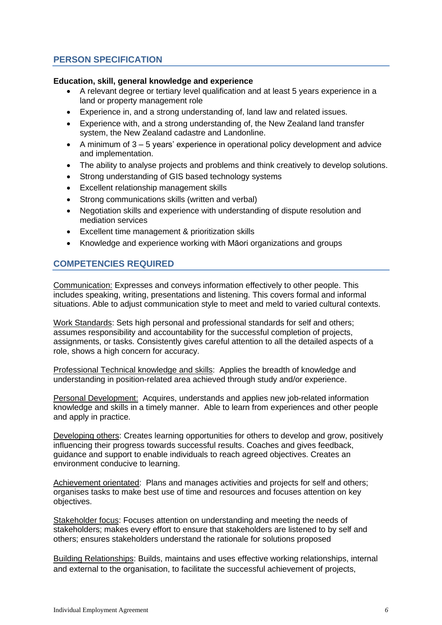# **PERSON SPECIFICATION**

### **Education, skill, general knowledge and experience**

- A relevant degree or tertiary level qualification and at least 5 years experience in a land or property management role
- Experience in, and a strong understanding of, land law and related issues.
- Experience with, and a strong understanding of, the New Zealand land transfer system, the New Zealand cadastre and Landonline.
- A minimum of 3 5 years' experience in operational policy development and advice and implementation.
- The ability to analyse projects and problems and think creatively to develop solutions.
- Strong understanding of GIS based technology systems
- Excellent relationship management skills
- Strong communications skills (written and verbal)
- Negotiation skills and experience with understanding of dispute resolution and mediation services
- Excellent time management & prioritization skills
- Knowledge and experience working with Māori organizations and groups

## **COMPETENCIES REQUIRED**

Communication: Expresses and conveys information effectively to other people. This includes speaking, writing, presentations and listening. This covers formal and informal situations. Able to adjust communication style to meet and meld to varied cultural contexts.

Work Standards: Sets high personal and professional standards for self and others; assumes responsibility and accountability for the successful completion of projects, assignments, or tasks. Consistently gives careful attention to all the detailed aspects of a role, shows a high concern for accuracy.

Professional Technical knowledge and skills: Applies the breadth of knowledge and understanding in position-related area achieved through study and/or experience.

Personal Development: Acquires, understands and applies new job-related information knowledge and skills in a timely manner. Able to learn from experiences and other people and apply in practice.

Developing others: Creates learning opportunities for others to develop and grow, positively influencing their progress towards successful results. Coaches and gives feedback, guidance and support to enable individuals to reach agreed objectives. Creates an environment conducive to learning.

Achievement orientated: Plans and manages activities and projects for self and others; organises tasks to make best use of time and resources and focuses attention on key objectives.

Stakeholder focus: Focuses attention on understanding and meeting the needs of stakeholders; makes every effort to ensure that stakeholders are listened to by self and others; ensures stakeholders understand the rationale for solutions proposed

Building Relationships: Builds, maintains and uses effective working relationships, internal and external to the organisation, to facilitate the successful achievement of projects,